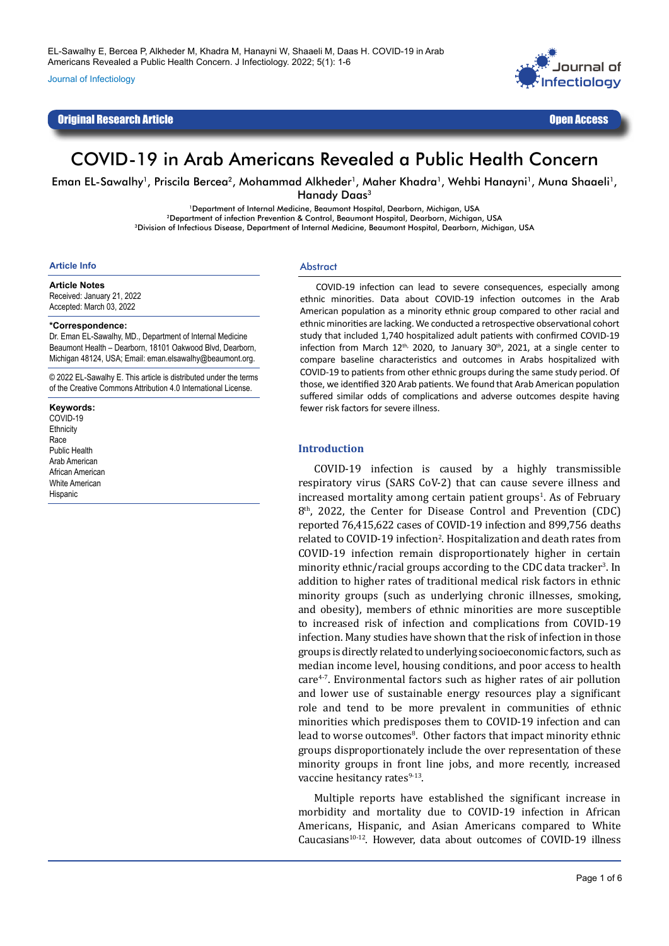Journal of Infectiology

# Original Research Article Open Access



# COVID-19 in Arab Americans Revealed a Public Health Concern

Eman EL-Sawalhy<sup>1</sup>, Priscila Bercea<sup>2</sup>, Mohammad Alkheder<sup>1</sup>, Maher Khadra<sup>1</sup>, Wehbi Hanayni<sup>1</sup>, Muna Shaaeli<sup>1</sup>, Hanady Daas<sup>3</sup>

> <sup>1</sup>Department of Internal Medicine, Beaumont Hospital, Dearborn, Michigan, USA<br>2Department of infection Prevention & Control, Beaumont Hospital, Dearborn, Michigan, USA 3Division of Infectious Disease, Department of Internal Medicine, Beaumont Hospital, Dearborn, Michigan, USA

#### **Article Info**

#### **Article Notes**

Received: January 21, 2022 Accepted: March 03, 2022

#### **\*Correspondence:**

Dr. Eman EL-Sawalhy, MD., Department of Internal Medicine Beaumont Health – Dearborn, 18101 Oakwood Blvd, Dearborn, Michigan 48124, USA; Email: eman.elsawalhy@beaumont.org.

© 2022 EL-Sawalhy E. This article is distributed under the terms of the Creative Commons Attribution 4.0 International License.

#### **Keywords:**

COVID-19 **Ethnicity** Race Public Health Arab American African American White American **Hispanic** 

#### **Abstract**

COVID-19 infection can lead to severe consequences, especially among ethnic minorities. Data about COVID-19 infection outcomes in the Arab American population as a minority ethnic group compared to other racial and ethnic minorities are lacking. We conducted a retrospective observational cohort study that included 1,740 hospitalized adult patients with confirmed COVID-19 infection from March  $12^{th}$ , 2020, to January  $30^{th}$ , 2021, at a single center to compare baseline characteristics and outcomes in Arabs hospitalized with COVID-19 to patients from other ethnic groups during the same study period. Of those, we identified 320 Arab patients. We found that Arab American population suffered similar odds of complications and adverse outcomes despite having fewer risk factors for severe illness.

### **Introduction**

COVID-19 infection is caused by a highly transmissible respiratory virus (SARS CoV-2) that can cause severe illness and increased mortality among certain patient groups<sup>1</sup>. As of February 8<sup>th</sup>, 2022, the Center for Disease Control and Prevention (CDC) reported 76,415,622 cases of COVID-19 infection and 899,756 deaths related to COVID-19 infection<sup>2</sup>. Hospitalization and death rates from COVID-19 infection remain disproportionately higher in certain minority ethnic/racial groups according to the CDC data tracker<sup>3</sup>. In addition to higher rates of traditional medical risk factors in ethnic minority groups (such as underlying chronic illnesses, smoking, and obesity), members of ethnic minorities are more susceptible to increased risk of infection and complications from COVID-19 infection. Many studies have shown that the risk of infection in those groups is directly related to underlying socioeconomic factors, such as median income level, housing conditions, and poor access to health  $care<sup>4-7</sup>$ . Environmental factors such as higher rates of air pollution and lower use of sustainable energy resources play a significant role and tend to be more prevalent in communities of ethnic minorities which predisposes them to COVID-19 infection and can lead to worse outcomes<sup>8</sup>. Other factors that impact minority ethnic groups disproportionately include the over representation of these minority groups in front line jobs, and more recently, increased vaccine hesitancy rates<sup>9-13</sup>.

Multiple reports have established the significant increase in morbidity and mortality due to COVID-19 infection in African Americans, Hispanic, and Asian Americans compared to White Caucasians<sup>10-12</sup>. However, data about outcomes of COVID-19 illness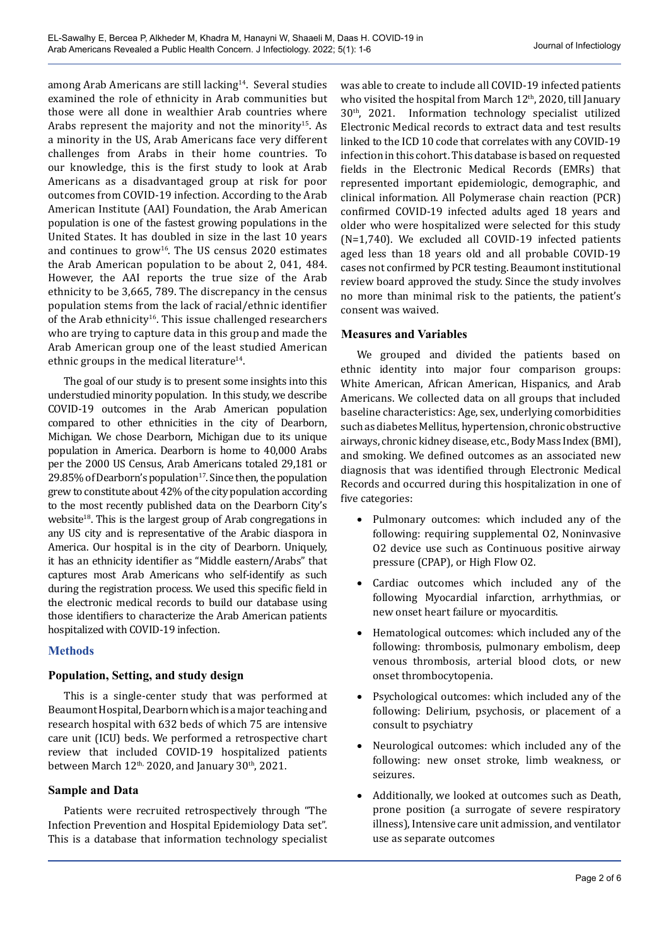among Arab Americans are still lacking<sup>14</sup>. Several studies examined the role of ethnicity in Arab communities but those were all done in wealthier Arab countries where Arabs represent the majority and not the minority<sup>15</sup>. As a minority in the US, Arab Americans face very different challenges from Arabs in their home countries. To our knowledge, this is the first study to look at Arab Americans as a disadvantaged group at risk for poor outcomes from COVID-19 infection. According to the Arab American Institute (AAI) Foundation, the Arab American population is one of the fastest growing populations in the United States. It has doubled in size in the last 10 years and continues to grow<sup>16</sup>. The US census 2020 estimates the Arab American population to be about 2, 041, 484. However, the AAI reports the true size of the Arab ethnicity to be 3,665, 789. The discrepancy in the census population stems from the lack of racial/ethnic identifier of the Arab ethnicity<sup>16</sup>. This issue challenged researchers who are trying to capture data in this group and made the Arab American group one of the least studied American ethnic groups in the medical literature<sup>14</sup>.

The goal of our study is to present some insights into this understudied minority population. In this study, we describe COVID-19 outcomes in the Arab American population compared to other ethnicities in the city of Dearborn, Michigan. We chose Dearborn, Michigan due to its unique population in America. Dearborn is home to 40,000 Arabs per the 2000 US Census, Arab Americans totaled 29,181 or 29.85% of Dearborn's population $17$ . Since then, the population grew to constitute about 42% of the city population according to the most recently published data on the Dearborn City's website<sup>18</sup>. This is the largest group of Arab congregations in any US city and is representative of the Arabic diaspora in America. Our hospital is in the city of Dearborn. Uniquely, it has an ethnicity identifier as "Middle eastern/Arabs" that captures most Arab Americans who self-identify as such during the registration process. We used this specific field in the electronic medical records to build our database using those identifiers to characterize the Arab American patients hospitalized with COVID-19 infection.

# **Methods**

# **Population, Setting, and study design**

This is a single-center study that was performed at Beaumont Hospital, Dearborn which is a major teaching and research hospital with 632 beds of which 75 are intensive care unit (ICU) beds. We performed a retrospective chart review that included COVID-19 hospitalized patients between March  $12<sup>th</sup>$ , 2020, and January 30<sup>th</sup>, 2021.

# **Sample and Data**

Patients were recruited retrospectively through "The Infection Prevention and Hospital Epidemiology Data set". This is a database that information technology specialist was able to create to include all COVID-19 infected patients who visited the hospital from March 12<sup>th</sup>, 2020, till January 30th, 2021. Information technology specialist utilized Electronic Medical records to extract data and test results linked to the ICD 10 code that correlates with any COVID-19 infection in this cohort. This database is based on requested fields in the Electronic Medical Records (EMRs) that represented important epidemiologic, demographic, and clinical information. All Polymerase chain reaction (PCR) confirmed COVID-19 infected adults aged 18 years and older who were hospitalized were selected for this study (N=1,740). We excluded all COVID-19 infected patients aged less than 18 years old and all probable COVID-19 cases not confirmed by PCR testing. Beaumont institutional review board approved the study. Since the study involves no more than minimal risk to the patients, the patient's consent was waived.

# **Measures and Variables**

We grouped and divided the patients based on ethnic identity into major four comparison groups: White American, African American, Hispanics, and Arab Americans. We collected data on all groups that included baseline characteristics: Age, sex, underlying comorbidities such as diabetes Mellitus, hypertension, chronic obstructive airways, chronic kidney disease, etc., Body Mass Index (BMI), and smoking. We defined outcomes as an associated new diagnosis that was identified through Electronic Medical Records and occurred during this hospitalization in one of five categories:

- Pulmonary outcomes: which included any of the following: requiring supplemental O2, Noninvasive O2 device use such as Continuous positive airway pressure (CPAP), or High Flow O2.
- • Cardiac outcomes which included any of the following Myocardial infarction, arrhythmias, or new onset heart failure or myocarditis.
- Hematological outcomes: which included any of the following: thrombosis, pulmonary embolism, deep venous thrombosis, arterial blood clots, or new onset thrombocytopenia.
- Psychological outcomes: which included any of the following: Delirium, psychosis, or placement of a consult to psychiatry
- Neurological outcomes: which included any of the following: new onset stroke, limb weakness, or seizures.
- Additionally, we looked at outcomes such as Death, prone position (a surrogate of severe respiratory illness), Intensive care unit admission, and ventilator use as separate outcomes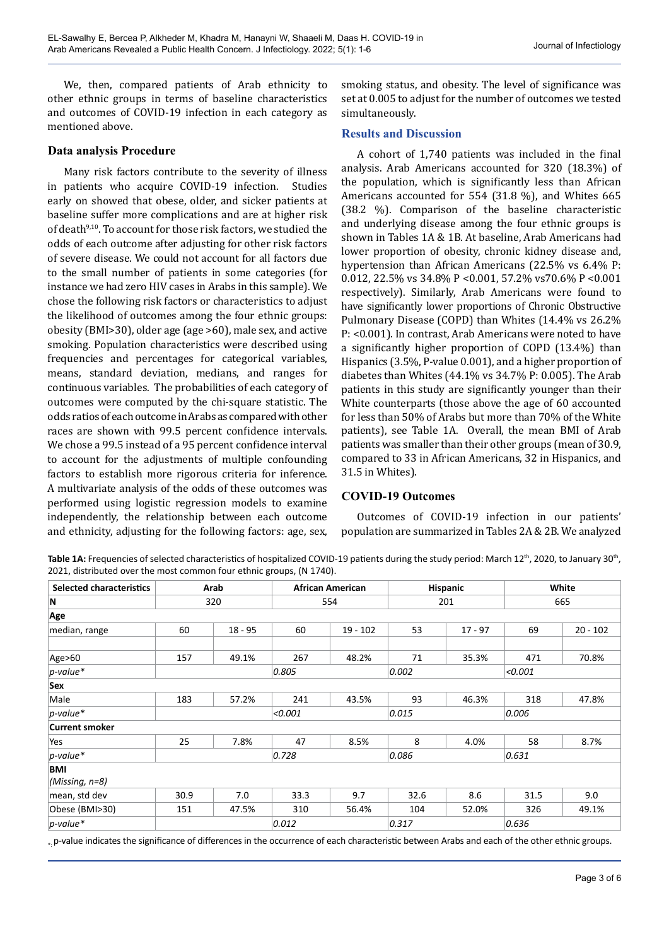We, then, compared patients of Arab ethnicity to other ethnic groups in terms of baseline characteristics and outcomes of COVID-19 infection in each category as mentioned above.

### **Data analysis Procedure**

Many risk factors contribute to the severity of illness in patients who acquire COVID-19 infection. Studies early on showed that obese, older, and sicker patients at baseline suffer more complications and are at higher risk of death<sup>9,10</sup>. To account for those risk factors, we studied the odds of each outcome after adjusting for other risk factors of severe disease. We could not account for all factors due to the small number of patients in some categories (for instance we had zero HIV cases in Arabs in this sample). We chose the following risk factors or characteristics to adjust the likelihood of outcomes among the four ethnic groups: obesity (BMI>30), older age (age >60), male sex, and active smoking. Population characteristics were described using frequencies and percentages for categorical variables, means, standard deviation, medians, and ranges for continuous variables. The probabilities of each category of outcomes were computed by the chi-square statistic. The odds ratios of each outcome in Arabs as compared with other races are shown with 99.5 percent confidence intervals. We chose a 99.5 instead of a 95 percent confidence interval to account for the adjustments of multiple confounding factors to establish more rigorous criteria for inference. A multivariate analysis of the odds of these outcomes was performed using logistic regression models to examine independently, the relationship between each outcome and ethnicity, adjusting for the following factors: age, sex,

smoking status, and obesity. The level of significance was set at 0.005 to adjust for the number of outcomes we tested simultaneously.

### **Results and Discussion**

A cohort of 1,740 patients was included in the final analysis. Arab Americans accounted for 320 (18.3%) of the population, which is significantly less than African Americans accounted for 554 (31.8 %), and Whites 665 (38.2 %). Comparison of the baseline characteristic and underlying disease among the four ethnic groups is shown in Tables 1A & 1B. At baseline, Arab Americans had lower proportion of obesity, chronic kidney disease and, hypertension than African Americans (22.5% vs 6.4% P: 0.012, 22.5% vs 34.8% P <0.001, 57.2% vs70.6% P <0.001 respectively). Similarly, Arab Americans were found to have significantly lower proportions of Chronic Obstructive Pulmonary Disease (COPD) than Whites (14.4% vs 26.2% P: <0.001). In contrast, Arab Americans were noted to have a significantly higher proportion of COPD (13.4%) than Hispanics (3.5%, P-value 0.001), and a higher proportion of diabetes than Whites (44.1% vs 34.7% P: 0.005). The Arab patients in this study are significantly younger than their White counterparts (those above the age of 60 accounted for less than 50% of Arabs but more than 70% of the White patients), see Table 1A. Overall, the mean BMI of Arab patients was smaller than their other groups (mean of 30.9, compared to 33 in African Americans, 32 in Hispanics, and 31.5 in Whites).

### **COVID-19 Outcomes**

Outcomes of COVID-19 infection in our patients' population are summarized in Tables 2A & 2B. We analyzed

Table 1A: Frequencies of selected characteristics of hospitalized COVID-19 patients during the study period: March 12<sup>th</sup>, 2020, to January 30<sup>th</sup>, 2021, distributed over the most common four ethnic groups, (N 1740).

| <b>Selected characteristics</b> | Arab |           | <b>African American</b> |            | <b>Hispanic</b> |           | White   |            |  |
|---------------------------------|------|-----------|-------------------------|------------|-----------------|-----------|---------|------------|--|
| N                               | 320  |           | 554                     |            | 201             |           | 665     |            |  |
| Age                             |      |           |                         |            |                 |           |         |            |  |
| median, range                   | 60   | $18 - 95$ | 60                      | $19 - 102$ | 53              | $17 - 97$ | 69      | $20 - 102$ |  |
| Age>60                          | 157  | 49.1%     | 267                     | 48.2%      | 71              | 35.3%     | 471     | 70.8%      |  |
| $p$ -value*                     |      |           | 0.805                   |            | 0.002           |           | < 0.001 |            |  |
| Sex                             |      |           |                         |            |                 |           |         |            |  |
| Male                            | 183  | 57.2%     | 241                     | 43.5%      | 93              | 46.3%     | 318     | 47.8%      |  |
| $p$ -value*                     |      |           | < 0.001                 |            | 0.015           |           | 0.006   |            |  |
| <b>Current smoker</b>           |      |           |                         |            |                 |           |         |            |  |
| Yes                             | 25   | 7.8%      | 47                      | 8.5%       | 8               | 4.0%      | 58      | 8.7%       |  |
| $p$ -value*                     |      |           | 0.728                   |            | 0.086           |           | 0.631   |            |  |
| <b>BMI</b>                      |      |           |                         |            |                 |           |         |            |  |
| (Missing, $n=8$ )               |      |           |                         |            |                 |           |         |            |  |
| mean, std dev                   | 30.9 | 7.0       | 33.3                    | 9.7        | 32.6            | 8.6       | 31.5    | 9.0        |  |
| Obese (BMI>30)                  | 151  | 47.5%     | 310                     | 56.4%      | 104             | 52.0%     | 326     | 49.1%      |  |
| $p$ -value*                     |      |           | 0.012                   |            |                 | 0.317     |         | 0.636      |  |

. p-value indicates the significance of differences in the occurrence of each characteristic between Arabs and each of the other ethnic groups.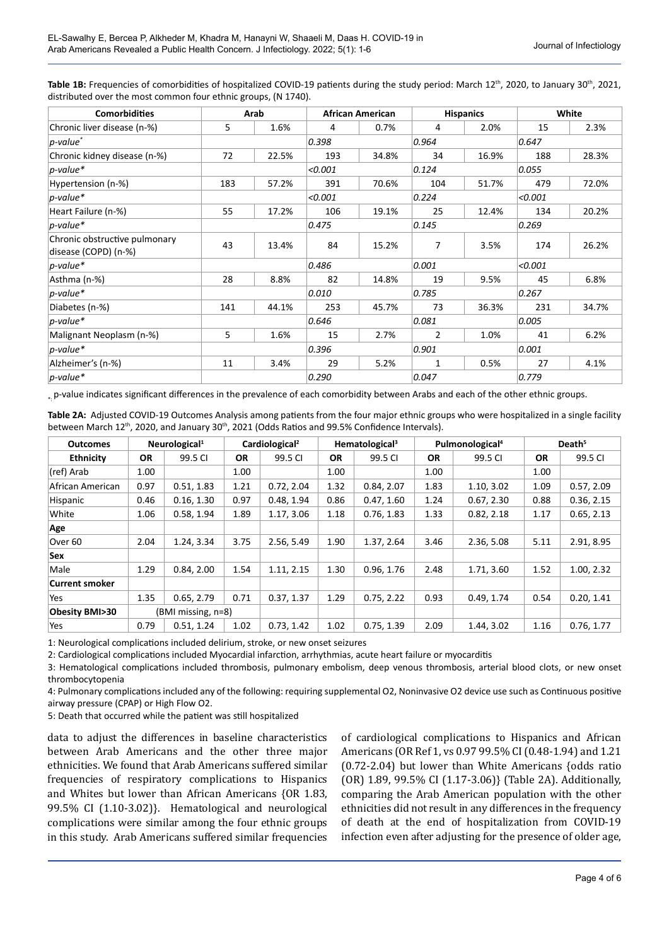| Table 1B: Frequencies of comorbidities of hospitalized COVID-19 patients during the study period: March 12 <sup>th</sup> , 2020, to January 30 <sup>th</sup> , 2021, |
|----------------------------------------------------------------------------------------------------------------------------------------------------------------------|
| distributed over the most common four ethnic groups, (N 1740).                                                                                                       |

| <b>Comorbidities</b>                                  |     | Arab  |         | <b>African American</b> |                | <b>Hispanics</b> |         | White   |  |
|-------------------------------------------------------|-----|-------|---------|-------------------------|----------------|------------------|---------|---------|--|
| Chronic liver disease (n-%)                           | 5   | 1.6%  | 4       | 0.7%                    | $\overline{4}$ | 2.0%             | 15      | 2.3%    |  |
| $ p$ -value $^*$                                      |     |       | 0.398   |                         | 0.964          |                  | 0.647   |         |  |
| Chronic kidney disease (n-%)                          | 72  | 22.5% | 193     | 34.8%                   | 34             | 16.9%            | 188     | 28.3%   |  |
| $p$ -value*                                           |     |       | < 0.001 |                         | 0.124          |                  | 0.055   |         |  |
| Hypertension (n-%)                                    | 183 | 57.2% | 391     | 70.6%                   | 104            | 51.7%            | 479     | 72.0%   |  |
| $p$ -value*                                           |     |       | < 0.001 |                         |                | 0.224            |         | < 0.001 |  |
| Heart Failure (n-%)                                   | 55  | 17.2% | 106     | 19.1%                   | 25             | 12.4%            | 134     | 20.2%   |  |
| $p$ -value*                                           |     |       | 0.475   |                         | 0.145          |                  | 0.269   |         |  |
| Chronic obstructive pulmonary<br>disease (COPD) (n-%) | 43  | 13.4% | 84      | 15.2%                   | 7              | 3.5%             | 174     | 26.2%   |  |
| $p$ -value*                                           |     |       | 0.486   |                         | 0.001          |                  | < 0.001 |         |  |
| Asthma (n-%)                                          | 28  | 8.8%  | 82      | 14.8%                   | 19             | 9.5%             | 45      | 6.8%    |  |
| $p$ -value*                                           |     |       | 0.010   |                         | 0.785          |                  | 0.267   |         |  |
| Diabetes (n-%)                                        | 141 | 44.1% | 253     | 45.7%                   | 73             | 36.3%            | 231     | 34.7%   |  |
| $p$ -value*                                           |     |       | 0.646   |                         | 0.081          |                  | 0.005   |         |  |
| Malignant Neoplasm (n-%)                              | 5   | 1.6%  | 15      | 2.7%                    | $\overline{2}$ | 1.0%             | 41      | 6.2%    |  |
| $p$ -value*                                           |     |       | 0.396   |                         | 0.901          |                  | 0.001   |         |  |
| Alzheimer's (n-%)                                     | 11  | 3.4%  | 29      | 5.2%                    | $\mathbf{1}$   | 0.5%             | 27      | 4.1%    |  |
| $p$ -value*                                           |     |       | 0.290   |                         | 0.047          |                  | 0.779   |         |  |

. p-value indicates significant differences in the prevalence of each comorbidity between Arabs and each of the other ethnic groups.

**Table 2A:** Adjusted COVID-19 Outcomes Analysis among patients from the four major ethnic groups who were hospitalized in a single facility between March 12<sup>th</sup>, 2020, and January 30<sup>th</sup>, 2021 (Odds Ratios and 99.5% Confidence Intervals).

| <b>Outcomes</b>       | Neurological <sup>1</sup> |            | Cardiological <sup>2</sup> |            | Hematological <sup>3</sup> |            | Pulmonological <sup>4</sup> |            | Death <sup>5</sup> |            |
|-----------------------|---------------------------|------------|----------------------------|------------|----------------------------|------------|-----------------------------|------------|--------------------|------------|
| <b>Ethnicity</b>      | <b>OR</b>                 | 99.5 CI    | <b>OR</b>                  | 99.5 CI    | <b>OR</b>                  | 99.5 CI    | <b>OR</b>                   | 99.5 CI    | <b>OR</b>          | 99.5 CI    |
| (ref) Arab            | 1.00                      |            | 1.00                       |            | 1.00                       |            | 1.00                        |            | 1.00               |            |
| African American      | 0.97                      | 0.51, 1.83 | 1.21                       | 0.72, 2.04 | 1.32                       | 0.84, 2.07 | 1.83                        | 1.10, 3.02 | 1.09               | 0.57, 2.09 |
| Hispanic              | 0.46                      | 0.16, 1.30 | 0.97                       | 0.48, 1.94 | 0.86                       | 0.47, 1.60 | 1.24                        | 0.67, 2.30 | 0.88               | 0.36, 2.15 |
| White                 | 1.06                      | 0.58, 1.94 | 1.89                       | 1.17, 3.06 | 1.18                       | 0.76, 1.83 | 1.33                        | 0.82, 2.18 | 1.17               | 0.65, 2.13 |
| Age                   |                           |            |                            |            |                            |            |                             |            |                    |            |
| Over 60               | 2.04                      | 1.24, 3.34 | 3.75                       | 2.56, 5.49 | 1.90                       | 1.37, 2.64 | 3.46                        | 2.36, 5.08 | 5.11               | 2.91, 8.95 |
| Sex                   |                           |            |                            |            |                            |            |                             |            |                    |            |
| Male                  | 1.29                      | 0.84, 2.00 | 1.54                       | 1.11, 2.15 | 1.30                       | 0.96, 1.76 | 2.48                        | 1.71, 3.60 | 1.52               | 1.00, 2.32 |
| <b>Current smoker</b> |                           |            |                            |            |                            |            |                             |            |                    |            |
| Yes                   | 1.35                      | 0.65, 2.79 | 0.71                       | 0.37, 1.37 | 1.29                       | 0.75, 2.22 | 0.93                        | 0.49, 1.74 | 0.54               | 0.20, 1.41 |
| Obesity BMI>30        | (BMI missing, n=8)        |            |                            |            |                            |            |                             |            |                    |            |
| Yes                   | 0.79                      | 0.51.1.24  | 1.02                       | 0.73.1.42  | 1.02                       | 0.75, 1.39 | 2.09                        | 1.44, 3.02 | 1.16               | 0.76, 1.77 |

1: Neurological complications included delirium, stroke, or new onset seizures

2: Cardiological complications included Myocardial infarction, arrhythmias, acute heart failure or myocarditis

3: Hematological complications included thrombosis, pulmonary embolism, deep venous thrombosis, arterial blood clots, or new onset thrombocytopenia

4: Pulmonary complications included any of the following: requiring supplemental O2, Noninvasive O2 device use such as Continuous positive airway pressure (CPAP) or High Flow O2.

5: Death that occurred while the patient was still hospitalized

data to adjust the differences in baseline characteristics between Arab Americans and the other three major ethnicities. We found that Arab Americans suffered similar frequencies of respiratory complications to Hispanics and Whites but lower than African Americans {OR 1.83, 99.5% CI (1.10-3.02)}. Hematological and neurological complications were similar among the four ethnic groups in this study. Arab Americans suffered similar frequencies

of cardiological complications to Hispanics and African Americans (OR Ref 1, vs 0.97 99.5% CI (0.48-1.94) and 1.21 (0.72-2.04) but lower than White Americans {odds ratio (OR) 1.89, 99.5% CI (1.17-3.06)} (Table 2A). Additionally, comparing the Arab American population with the other ethnicities did not result in any differences in the frequency of death at the end of hospitalization from COVID-19 infection even after adjusting for the presence of older age,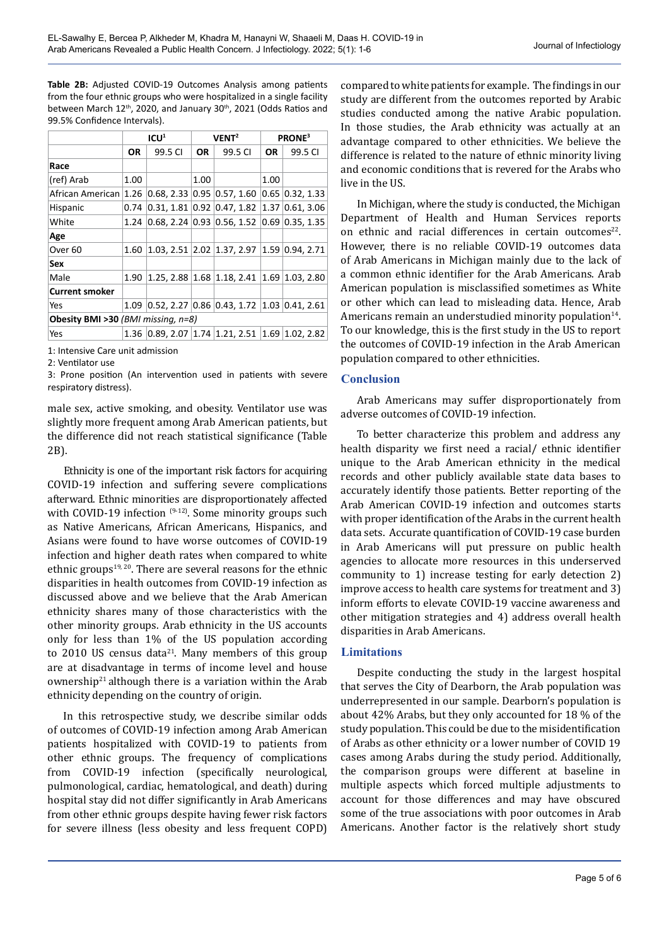**Table 2B:** Adjusted COVID-19 Outcomes Analysis among patients from the four ethnic groups who were hospitalized in a single facility between March 12<sup>th</sup>, 2020, and January 30<sup>th</sup>, 2021 (Odds Ratios and 99.5% Confidence Intervals).

|                                                  |           | ICU <sup>1</sup> |      | VENT <sup>2</sup>                                    | <b>PRONE</b> <sup>3</sup> |                   |  |
|--------------------------------------------------|-----------|------------------|------|------------------------------------------------------|---------------------------|-------------------|--|
|                                                  | <b>OR</b> | 99.5 CI          | OR.  | 99.5 CI                                              | <b>OR</b>                 | 99.5 CI           |  |
| Race                                             |           |                  |      |                                                      |                           |                   |  |
| (ref) Arab                                       | 1.00      |                  | 1.00 |                                                      | 1.00                      |                   |  |
| African American 1.26 0.68, 2.33 0.95 0.57, 1.60 |           |                  |      |                                                      |                           | $0.65$ 0.32, 1.33 |  |
| Hispanic                                         | 0.74      |                  |      | $0.31, 1.81$ 0.92 0.47, 1.82 1.37 0.61, 3.06         |                           |                   |  |
| White                                            | 1.24      |                  |      | $0.68$ , 2.24 $0.93$ $0.56$ , 1.52                   |                           | $0.69$ 0.35, 1.35 |  |
| Age                                              |           |                  |      |                                                      |                           |                   |  |
| Over <sub>60</sub>                               | 1.60      |                  |      | 1.03, 2.51 2.02 1.37, 2.97 1.59 0.94, 2.71           |                           |                   |  |
| Sex                                              |           |                  |      |                                                      |                           |                   |  |
| Male                                             | 1.90      |                  |      | 1.25, 2.88 1.68 1.18, 2.41 1.69 1.03, 2.80           |                           |                   |  |
| <b>Current smoker</b>                            |           |                  |      |                                                      |                           |                   |  |
| Yes                                              | 1.09      |                  |      | $0.52, 2.27$ $0.86$ $0.43, 1.72$ $1.03$ $0.41, 2.61$ |                           |                   |  |
| Obesity BMI >30 (BMI missing, n=8)               |           |                  |      |                                                      |                           |                   |  |
| Yes                                              |           |                  |      | 1.36 0.89, 2.07 1.74 1.21, 2.51 1.69 1.02, 2.82      |                           |                   |  |

1: Intensive Care unit admission

2: Ventilator use

3: Prone position (An intervention used in patients with severe respiratory distress).

male sex, active smoking, and obesity. Ventilator use was slightly more frequent among Arab American patients, but the difference did not reach statistical significance (Table 2B).

Ethnicity is one of the important risk factors for acquiring COVID-19 infection and suffering severe complications afterward. Ethnic minorities are disproportionately affected with COVID-19 infection <sup>(9-12)</sup>. Some minority groups such as Native Americans, African Americans, Hispanics, and Asians were found to have worse outcomes of COVID-19 infection and higher death rates when compared to white ethnic groups<sup>19, 20</sup>. There are several reasons for the ethnic disparities in health outcomes from COVID-19 infection as discussed above and we believe that the Arab American ethnicity shares many of those characteristics with the other minority groups. Arab ethnicity in the US accounts only for less than 1% of the US population according to 2010 US census data $21$ . Many members of this group are at disadvantage in terms of income level and house ownership $21$  although there is a variation within the Arab ethnicity depending on the country of origin.

In this retrospective study, we describe similar odds of outcomes of COVID-19 infection among Arab American patients hospitalized with COVID-19 to patients from other ethnic groups. The frequency of complications from COVID-19 infection (specifically neurological, pulmonological, cardiac, hematological, and death) during hospital stay did not differ significantly in Arab Americans from other ethnic groups despite having fewer risk factors for severe illness (less obesity and less frequent COPD)

compared to white patients for example. The findings in our study are different from the outcomes reported by Arabic studies conducted among the native Arabic population. In those studies, the Arab ethnicity was actually at an advantage compared to other ethnicities. We believe the difference is related to the nature of ethnic minority living and economic conditions that is revered for the Arabs who live in the US.

In Michigan, where the study is conducted, the Michigan Department of Health and Human Services reports on ethnic and racial differences in certain outcomes<sup>22</sup>. However, there is no reliable COVID-19 outcomes data of Arab Americans in Michigan mainly due to the lack of a common ethnic identifier for the Arab Americans. Arab American population is misclassified sometimes as White or other which can lead to misleading data. Hence, Arab Americans remain an understudied minority population $14$ . To our knowledge, this is the first study in the US to report the outcomes of COVID-19 infection in the Arab American population compared to other ethnicities.

### **Conclusion**

Arab Americans may suffer disproportionately from adverse outcomes of COVID-19 infection.

To better characterize this problem and address any health disparity we first need a racial/ ethnic identifier unique to the Arab American ethnicity in the medical records and other publicly available state data bases to accurately identify those patients. Better reporting of the Arab American COVID-19 infection and outcomes starts with proper identification of the Arabs in the current health data sets. Accurate quantification of COVID-19 case burden in Arab Americans will put pressure on public health agencies to allocate more resources in this underserved community to 1) increase testing for early detection 2) improve access to health care systems for treatment and 3) inform efforts to elevate COVID-19 vaccine awareness and other mitigation strategies and 4) address overall health disparities in Arab Americans.

# **Limitations**

Despite conducting the study in the largest hospital that serves the City of Dearborn, the Arab population was underrepresented in our sample. Dearborn's population is about 42% Arabs, but they only accounted for 18 % of the study population. This could be due to the misidentification of Arabs as other ethnicity or a lower number of COVID 19 cases among Arabs during the study period. Additionally, the comparison groups were different at baseline in multiple aspects which forced multiple adjustments to account for those differences and may have obscured some of the true associations with poor outcomes in Arab Americans. Another factor is the relatively short study